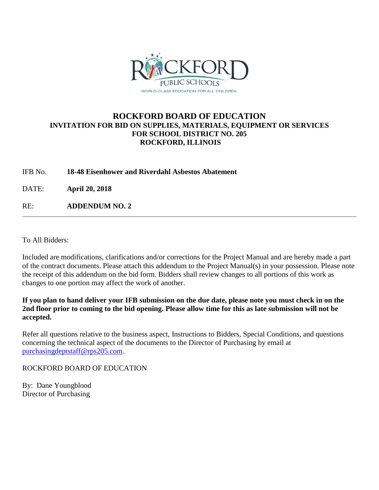

## **ROCKFORD BOARD OF EDUCATION INVITATION FOR BID ON SUPPLIES, MATERIALS, EQUIPMENT OR SERVICES FOR SCHOOL DISTRICT NO. 205 ROCKFORD, ILLINOIS**

IFB No. **18-48 Eisenhower and Riverdahl Asbestos Abatement**

DATE: **April 20, 2018**

RE: **ADDENDUM NO. 2**

To All Bidders:

Included are modifications, clarifications and/or corrections for the Project Manual and are hereby made a part of the contract documents. Please attach this addendum to the Project Manual(s) in your possession. Please note the receipt of this addendum on the bid form. Bidders shall review changes to all portions of this work as changes to one portion may affect the work of another.

**If you plan to hand deliver your IFB submission on the due date, please note you must check in on the 2nd floor prior to coming to the bid opening. Please allow time for this as late submission will not be accepted.**

Refer all questions relative to the business aspect, Instructions to Bidders, Special Conditions, and questions concerning the technical aspect of the documents to the Director of Purchasing by email at [purchasingdeptstaff@rps205.com.](mailto:purchasingdeptstaff@rps205.com)

ROCKFORD BOARD OF EDUCATION

By: Dane Youngblood Director of Purchasing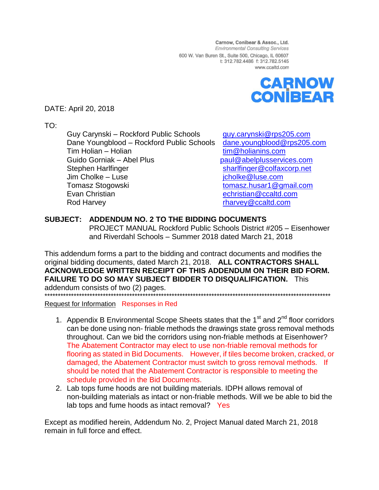Carnow, Conibear & Assoc., Ltd. **Environmental Consulting Services** 600 W. Van Buren St., Suite 500, Chicago, IL 60607 t: 312.782.4486 f: 312.782.5145 www.ccaltd.com



DATE: April 20, 2018

TO:

Guy Carynski – Rockford Public Schools [guy.carynski@rps205.com](mailto:guy.carynski@rps205.com) Dane Youngblood – Rockford Public Schools [dane.youngblood@rps205.com](mailto:dane.youngblood@rps205.com) Tim Holian – Holian [tim@holianins.com](mailto:tim@holianins.com) Guido Gorniak – Abel Plus **[paul@abelplusservices.com](mailto:paul@abelplusservices.com)** Stephen Harlfinger [sharlfinger@colfaxcorp.net](mailto:sharlfinger@colfaxcorp.net) Jim Cholke – Luse in the state of the state of the state of the state of the state of the state of the state of the state of the state of the state of the state of the state of the state of the state of the state of the st Tomasz Stogowski [tomasz.husar1@gmail.com](mailto:tomasz.husar1@gmail.com) Evan Christian [echristian@ccaltd.com](mailto:echristian@ccaltd.com) Rod Harvey **Rod Harvey Rod Harvey Rod Harvey Rod Harvey Rod Harvey Rod Harvey Rod Harvey Rod Harvey Rod Harvey Rod Harvey Rod Harvey Rod Harvey Rod Harvey Rod Harvey Rod Harvey Rod Harvey Ro** 

## **SUBJECT: ADDENDUM NO. 2 TO THE BIDDING DOCUMENTS**

PROJECT MANUAL Rockford Public Schools District #205 – Eisenhower and Riverdahl Schools – Summer 2018 dated March 21, 2018

This addendum forms a part to the bidding and contract documents and modifies the original bidding documents, dated March 21, 2018. **ALL CONTRACTORS SHALL ACKNOWLEDGE WRITTEN RECEIPT OF THIS ADDENDUM ON THEIR BID FORM. FAILURE TO DO SO MAY SUBJECT BIDDER TO DISQUALIFICATION.** This addendum consists of two (2) pages. \*\*\*\*\*\*\*\*\*\*\*\*\*\*\*\*\*\*\*\*\*\*\*\*\*\*\*\*\*\*\*\*\*\*\*\*\*\*\*\*\*\*\*\*\*\*\*\*\*\*\*\*\*\*\*\*\*\*\*\*\*\*\*\*\*\*\*\*\*\*\*\*\*\*\*\*\*\*\*\*\*\*\*\*\*\*\*\*\*\*\*\*\*\*\*\*\*\*\*\*\*\*\*\*\*\*\*\*

Request for Information Responses in Red

- 1. Appendix B Environmental Scope Sheets states that the  $1<sup>st</sup>$  and  $2<sup>nd</sup>$  floor corridors can be done using non- friable methods the drawings state gross removal methods throughout. Can we bid the corridors using non-friable methods at Eisenhower? The Abatement Contractor may elect to use non-friable removal methods for flooring as stated in Bid Documents. However, if tiles become broken, cracked, or damaged, the Abatement Contractor must switch to gross removal methods. If should be noted that the Abatement Contractor is responsible to meeting the schedule provided in the Bid Documents.
- 2. Lab tops fume hoods are not building materials. IDPH allows removal of non-building materials as intact or non-friable methods. Will we be able to bid the lab tops and fume hoods as intact removal? Yes

Except as modified herein, Addendum No. 2, Project Manual dated March 21, 2018 remain in full force and effect.